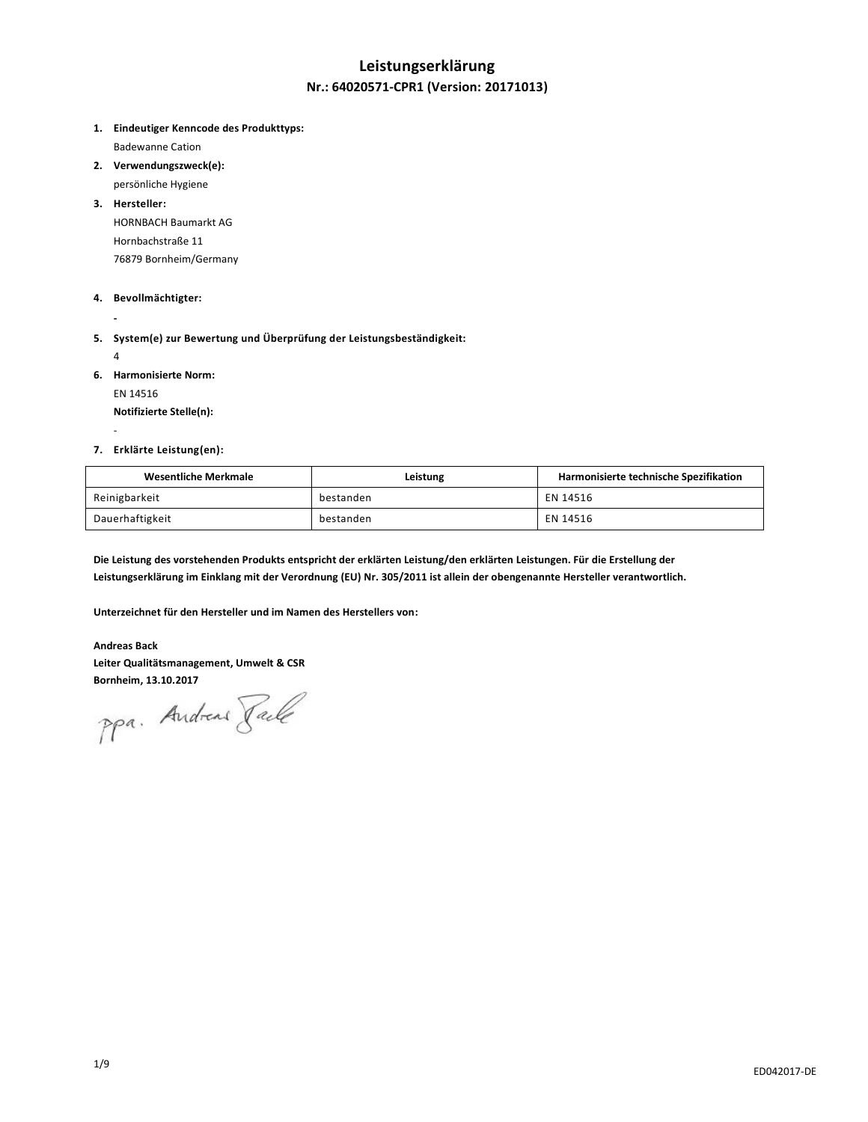# **Leistungserklärung**

### **Nr.: 64020571-CPR1 (Version: 20171013)**

**1. Eindeutiger Kenncode des Produkttyps:**

Badewanne Cation

- **2. Verwendungszweck(e):**
	- persönliche Hygiene

**3. Hersteller:** HORNBACH Baumarkt AG Hornbachstraße 11 76879 Bornheim/Germany

### **4. Bevollmächtigter:**

- **- 5. System(e) zur Bewertung und Überprüfung der Leistungsbeständigkeit:**
	- 4

-

**6. Harmonisierte Norm:**

EN 14516

**Notifizierte Stelle(n):**

### **7. Erklärte Leistung(en):**

| Wesentliche Merkmale | Leistung  | Harmonisierte technische Spezifikation |
|----------------------|-----------|----------------------------------------|
| Reinigbarkeit        | bestanden | EN 14516                               |
| Dauerhaftigkeit      | bestanden | EN 14516                               |

**Die Leistung des vorstehenden Produkts entspricht der erklärten Leistung/den erklärten Leistungen. Für die Erstellung der Leistungserklärung im Einklang mit der Verordnung (EU) Nr. 305/2011 ist allein der obengenannte Hersteller verantwortlich.**

**Unterzeichnet für den Hersteller und im Namen des Herstellers von:**

#### **Andreas Back**

**Leiter Qualitätsmanagement, Umwelt & CSR**

Bornheim, 13.10.2017<br>PPa. Andreas *Jale*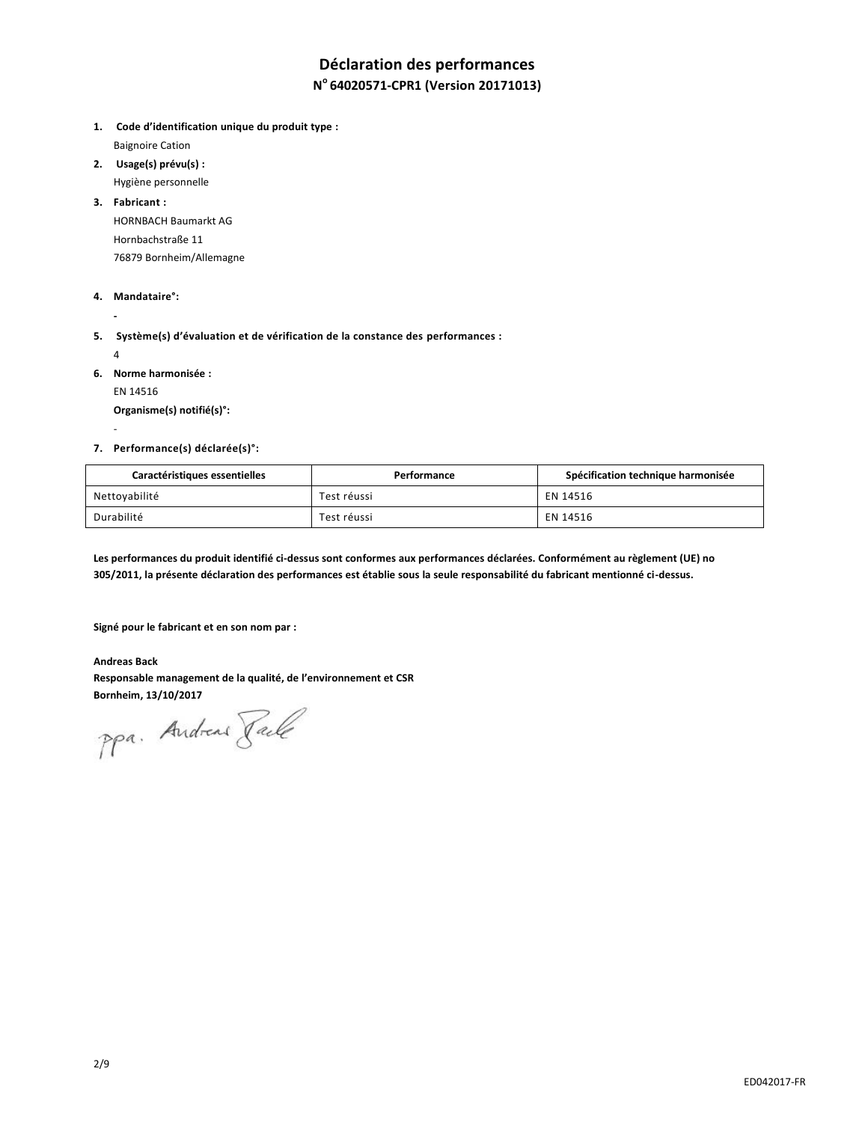# **Déclaration des performances**

### **N <sup>o</sup>64020571-CPR1 (Version 20171013)**

**1. Code d'identification unique du produit type :** Baignoire Cation

- **2. Usage(s) prévu(s) :** Hygiène personnelle
- **3. Fabricant :**

HORNBACH Baumarkt AG Hornbachstraße 11 76879 Bornheim/Allemagne

**4. Mandataire°:**

**5. Système(s) d'évaluation et de vérification de la constance des performances :**

4

-

**-**

**6. Norme harmonisée :**

EN 14516

**Organisme(s) notifié(s)°:**

**7. Performance(s) déclarée(s)°:**

| Caractéristiques essentielles | Performance | Spécification technique harmonisée |
|-------------------------------|-------------|------------------------------------|
| Nettoyabilité                 | Test réussi | EN 14516                           |
| Durabilité                    | Test réussi | EN 14516                           |

**Les performances du produit identifié ci-dessus sont conformes aux performances déclarées. Conformément au règlement (UE) no 305/2011, la présente déclaration des performances est établie sous la seule responsabilité du fabricant mentionné ci-dessus.**

**Signé pour le fabricant et en son nom par :**

**Andreas Back Responsable management de la qualité, de l'environnement et CSR Bornheim, 13/10/2017**

ppa. Andreas Faile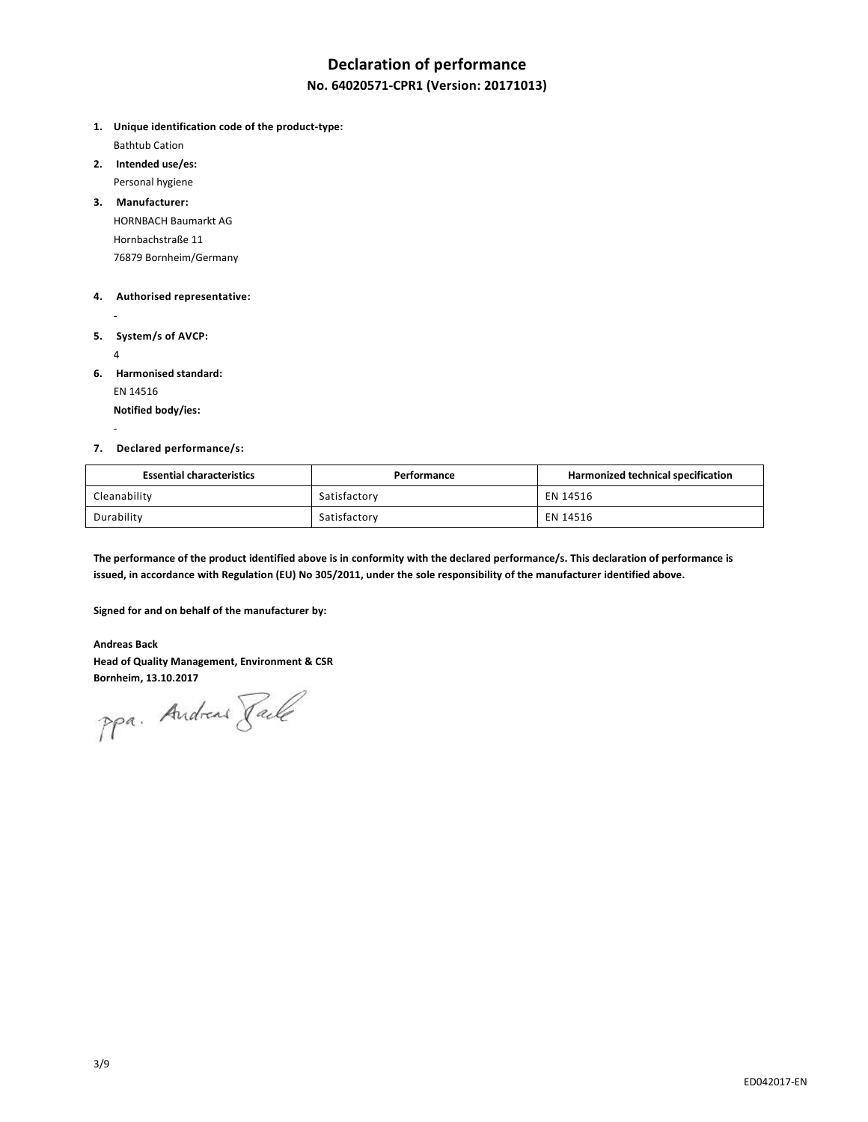### **Declaration of performance**

### **No. 64020571-CPR1 (Version: 20171013)**

- **1. Unique identification code of the product-type:** Bathtub Cation
- **2. Intended use/es:** Personal hygiene
- **3. Manufacturer:** HORNBACH Baumarkt AG Hornbachstraße 11 76879 Bornheim/Germany

#### **4. Authorised representative:**

- **5. System/s of AVCP:**
	- 4

-

**-**

**6. Harmonised standard:**

EN 14516

**Notified body/ies:**

### **7. Declared performance/s:**

| <b>Essential characteristics</b> | Performance  | Harmonized technical specification |
|----------------------------------|--------------|------------------------------------|
| Cleanability                     | Satisfactory | EN 14516                           |
| Durability                       | Satisfactory | EN 14516                           |

**The performance of the product identified above is in conformity with the declared performance/s. This declaration of performance is issued, in accordance with Regulation (EU) No 305/2011, under the sole responsibility of the manufacturer identified above.**

**Signed for and on behalf of the manufacturer by:**

### **Andreas Back**

**Head of Quality Management, Environment & CSR**

Bornheim, 13.10.2017<br>PPa. Andread *Jale*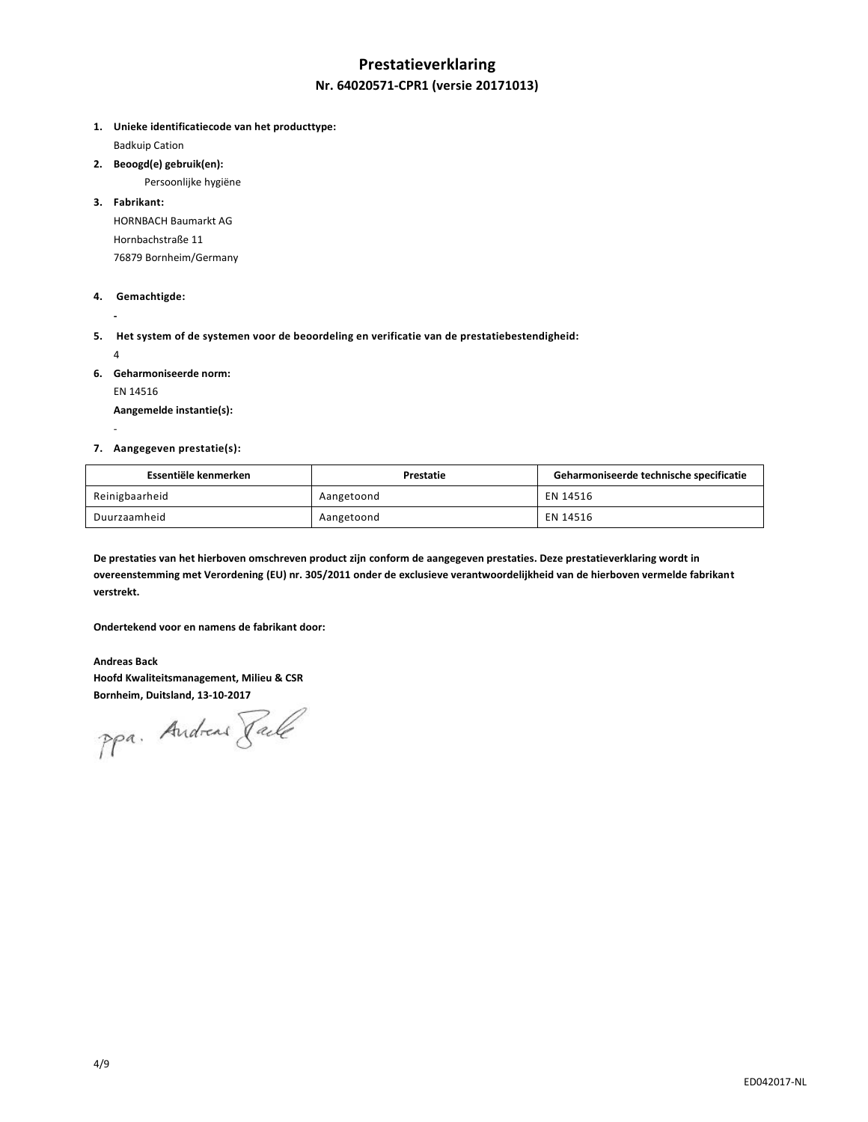# **Prestatieverklaring Nr. 64020571-CPR1 (versie 20171013)**

**1. Unieke identificatiecode van het producttype:**

Badkuip Cation

**2. Beoogd(e) gebruik(en):**

Persoonlijke hygiëne

**3. Fabrikant:**

HORNBACH Baumarkt AG Hornbachstraße 11 76879 Bornheim/Germany

### **4. Gemachtigde:**

**5. Het system of de systemen voor de beoordeling en verificatie van de prestatiebestendigheid:** 

4

-

**-**

- **6. Geharmoniseerde norm:**
	- EN 14516

**Aangemelde instantie(s):**

### **7. Aangegeven prestatie(s):**

| Essentiële kenmerken | Prestatie  | Geharmoniseerde technische specificatie |
|----------------------|------------|-----------------------------------------|
| Reinigbaarheid       | Aangetoond | EN 14516                                |
| Duurzaamheid         | Aangetoond | EN 14516                                |

**De prestaties van het hierboven omschreven product zijn conform de aangegeven prestaties. Deze prestatieverklaring wordt in overeenstemming met Verordening (EU) nr. 305/2011 onder de exclusieve verantwoordelijkheid van de hierboven vermelde fabrikant verstrekt.**

**Ondertekend voor en namens de fabrikant door:**

**Andreas Back Hoofd Kwaliteitsmanagement, Milieu & CSR Bornheim, Duitsland, 13-10-2017**

ppa. Andreas Faile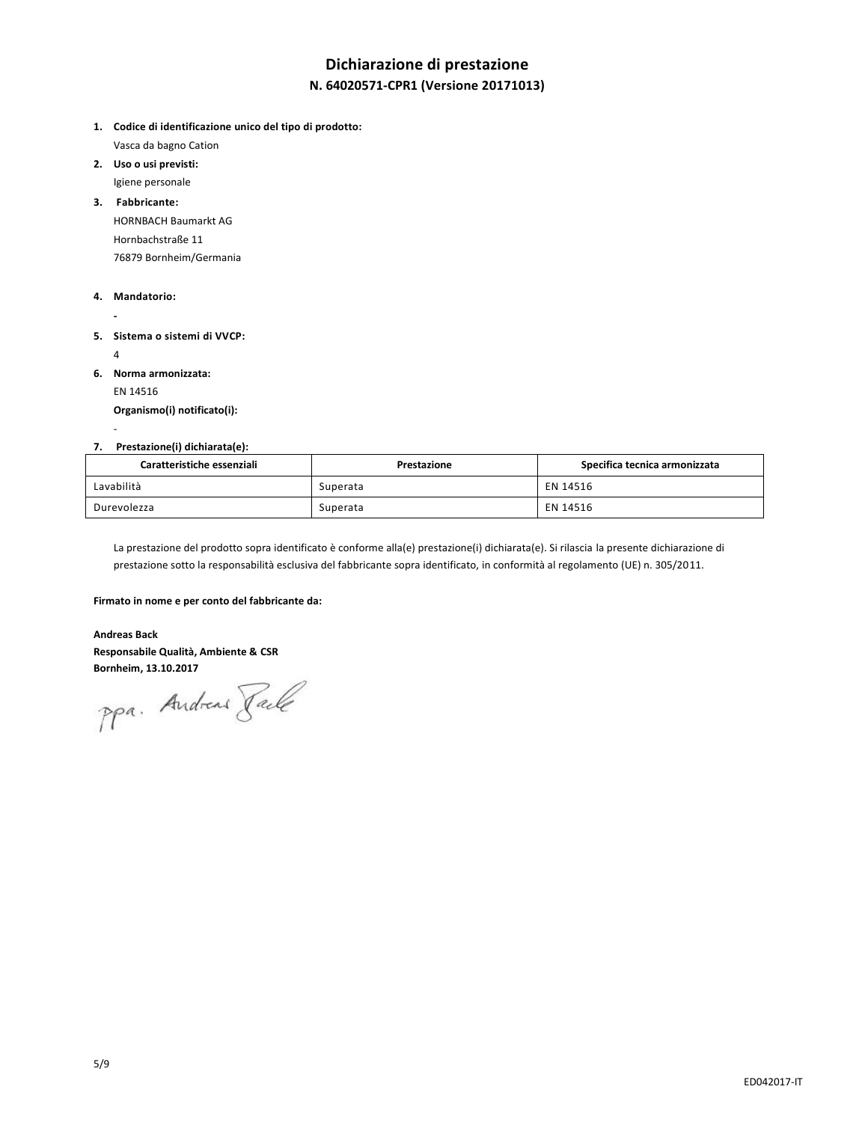# **Dichiarazione di prestazione**

### **N. 64020571-CPR1 (Versione 20171013)**

- **1. Codice di identificazione unico del tipo di prodotto:** Vasca da bagno Cation
- **2. Uso o usi previsti:** Igiene personale
- **3. Fabbricante:**

HORNBACH Baumarkt AG Hornbachstraße 11 76879 Bornheim/Germania

### **4. Mandatorio:**

- **- 5. Sistema o sistemi di VVCP:** 
	- 4

-

- **6. Norma armonizzata:**
	- EN 14516

**Organismo(i) notificato(i):**

### **7. Prestazione(i) dichiarata(e):**

| Caratteristiche essenziali | Prestazione | Specifica tecnica armonizzata |
|----------------------------|-------------|-------------------------------|
| Lavabilità                 | Superata    | EN 14516                      |
| Durevolezza                | Superata    | EN 14516                      |

La prestazione del prodotto sopra identificato è conforme alla(e) prestazione(i) dichiarata(e). Si rilascia la presente dichiarazione di prestazione sotto la responsabilità esclusiva del fabbricante sopra identificato, in conformità al regolamento (UE) n. 305/2011.

#### **Firmato in nome e per conto del fabbricante da:**

#### **Andreas Back**

**Responsabile Qualità, Ambiente & CSR**

**Bornheim, 13.10.2017**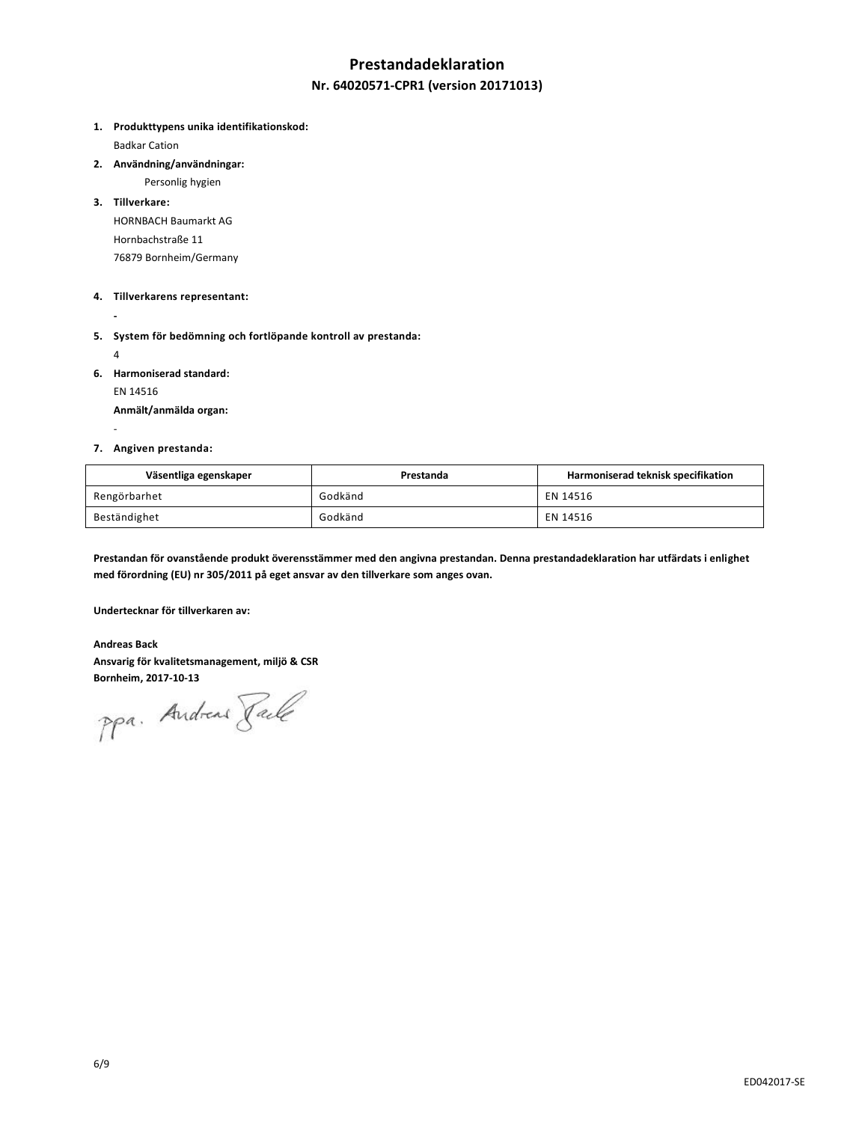### **Prestandadeklaration**

### **Nr. 64020571-CPR1 (version 20171013)**

**1. Produkttypens unika identifikationskod:**

Badkar Cation

**2. Användning/användningar:**

Personlig hygien

**3. Tillverkare:**

HORNBACH Baumarkt AG Hornbachstraße 11 76879 Bornheim/Germany

### **4. Tillverkarens representant:**

**-**

**5. System för bedömning och fortlöpande kontroll av prestanda:**

4

-

**6. Harmoniserad standard:**

EN 14516

**Anmält/anmälda organ:**

### **7. Angiven prestanda:**

| Väsentliga egenskaper | Prestanda | Harmoniserad teknisk specifikation |
|-----------------------|-----------|------------------------------------|
| Rengörbarhet          | Godkänd   | EN 14516                           |
| Beständighet          | Godkänd   | EN 14516                           |

**Prestandan för ovanstående produkt överensstämmer med den angivna prestandan. Denna prestandadeklaration har utfärdats i enlighet med förordning (EU) nr 305/2011 på eget ansvar av den tillverkare som anges ovan.**

**Undertecknar för tillverkaren av:**

**Andreas Back Ansvarig för kvalitetsmanagement, miljö & CSR**

**Bornheim, 2017-10-13**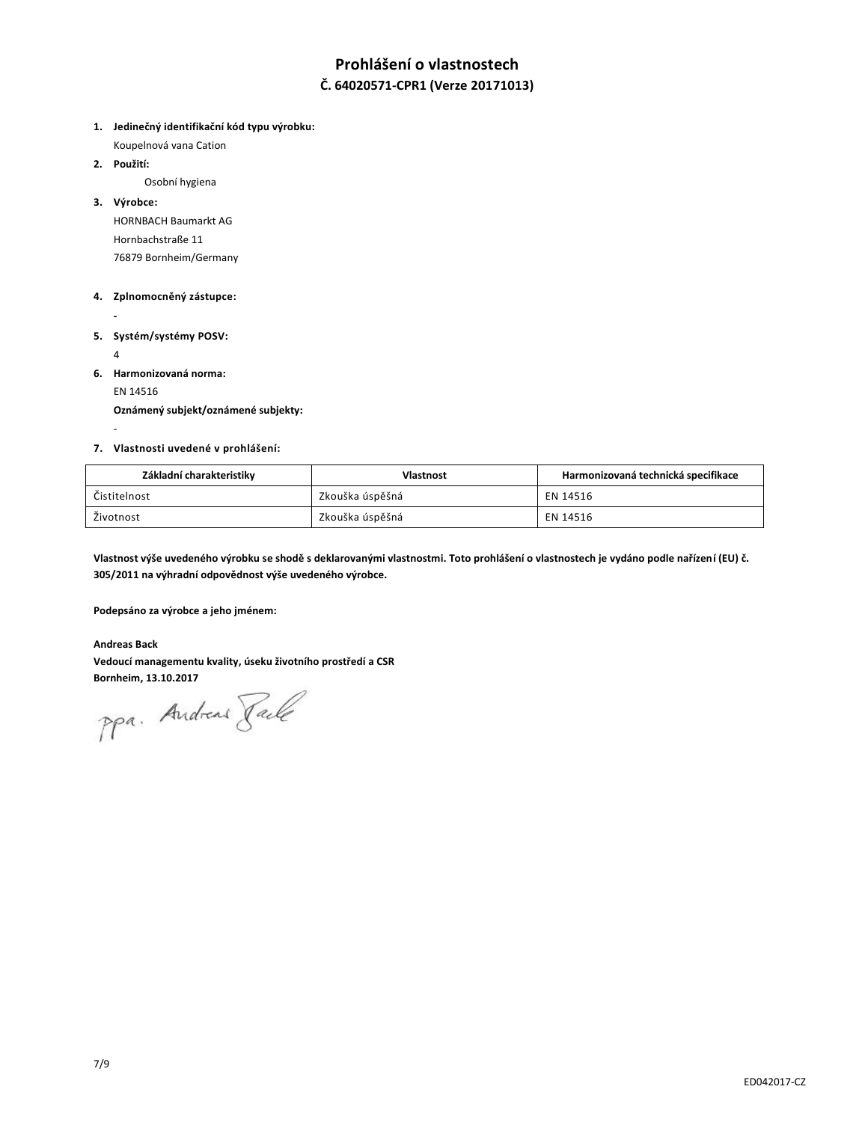# **Prohlášení o vlastnostech**

### **Č. 64020571-CPR1 (Verze 20171013)**

- **1. Jedinečný identifikační kód typu výrobku:**
	- Koupelnová vana Cation
- **2. Použití:**

Osobní hygiena

**3. Výrobce:**

HORNBACH Baumarkt AG Hornbachstraße 11 76879 Bornheim/Germany

### **4. Zplnomocněný zástupce:**

- **5. Systém/systémy POSV:**
	- 4

-

**-**

- **6. Harmonizovaná norma:**
	-
	- EN 14516

**Oznámený subjekt/oznámené subjekty:**

### **7. Vlastnosti uvedené v prohlášení:**

| Základní charakteristiky | <b>Vlastnost</b> | Harmonizovaná technická specifikace |
|--------------------------|------------------|-------------------------------------|
| Čistitelnost             | Zkouška úspěšná  | EN 14516                            |
| Životnost                | Zkouška úspěšná  | EN 14516                            |

**Vlastnost výše uvedeného výrobku se shodě s deklarovanými vlastnostmi. Toto prohlášení o vlastnostech je vydáno podle nařízení (EU) č. 305/2011 na výhradní odpovědnost výše uvedeného výrobce.**

**Podepsáno za výrobce a jeho jménem:**

### **Andreas Back**

**Vedoucí managementu kvality, úseku životního prostředí a CSR**

Bornheim, 13.10.2017<br>PPa. Andread *Jale*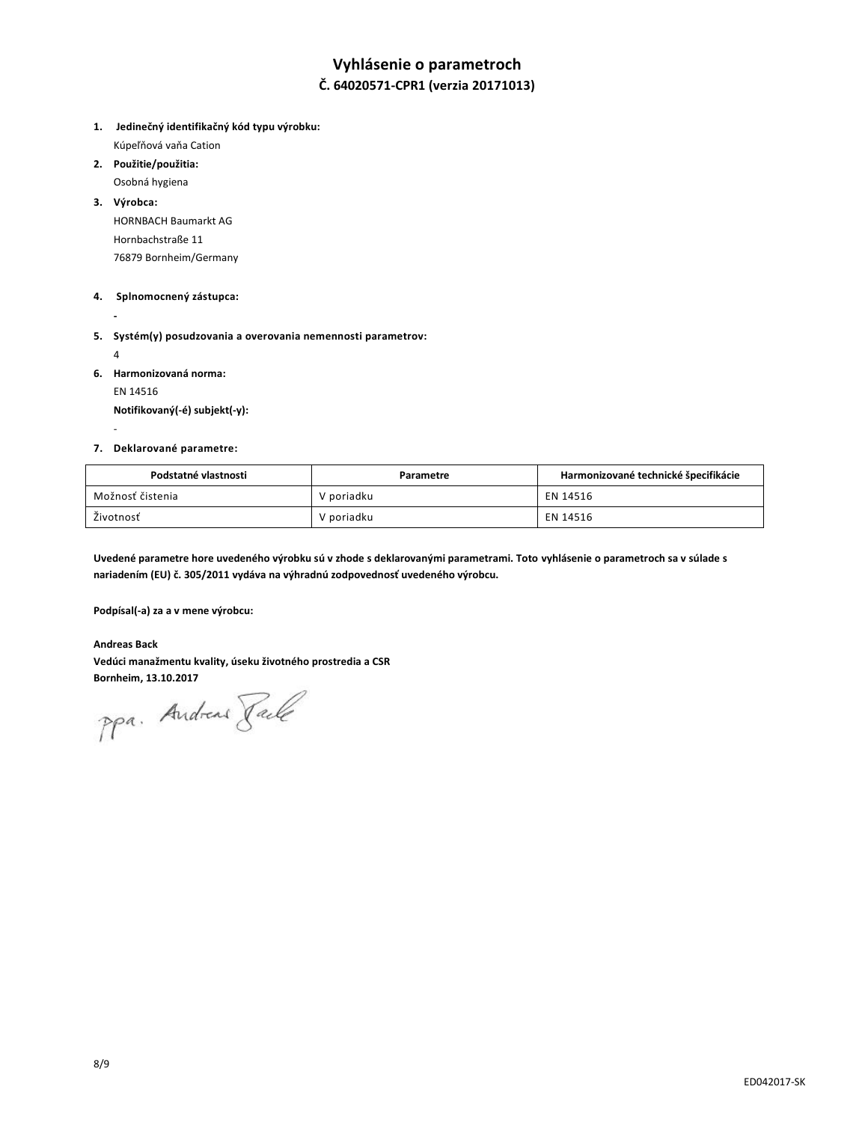# **Vyhlásenie o parametroch**

### **Č. 64020571-CPR1 (verzia 20171013)**

- **1. Jedinečný identifikačný kód typu výrobku:**  Kúpeľňová vaňa Cation
- **2. Použitie/použitia:**
- Osobná hygiena
- **3. Výrobca:** HORNBACH Baumarkt AG Hornbachstraße 11 76879 Bornheim/Germany

### **4. Splnomocnený zástupca:**

**-**

**5. Systém(y) posudzovania a overovania nemennosti parametrov:** 

4

-

- **6. Harmonizovaná norma:**
	- EN 14516

**Notifikovaný(-é) subjekt(-y):**

### **7. Deklarované parametre:**

| Podstatné vlastnosti | Parametre  | Harmonizované technické špecifikácie |
|----------------------|------------|--------------------------------------|
| Možnosť čistenia     | V poriadku | EN 14516                             |
| Životnosť            | V poriadku | EN 14516                             |

**Uvedené parametre hore uvedeného výrobku sú v zhode s deklarovanými parametrami. Toto vyhlásenie o parametroch sa v súlade s nariadením (EU) č. 305/2011 vydáva na výhradnú zodpovednosť uvedeného výrobcu.**

**Podpísal(-a) za a v mene výrobcu:**

**Andreas Back Vedúci manažmentu kvality, úseku životného prostredia a CSR**

Bornheim, 13.10.2017<br>PPa. Andread *Jale*